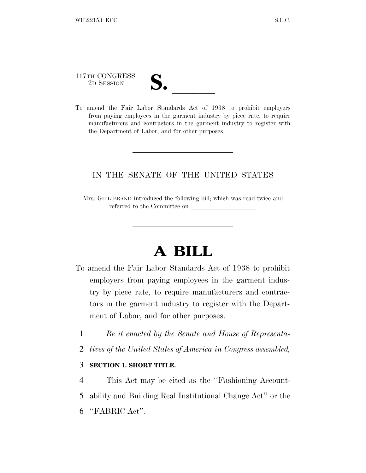117TH CONGRESS

| М<br>$\overline{\mathcal{U}}$ |  |
|-------------------------------|--|
|                               |  |
|                               |  |

117TH CONGRESS<br>
2D SESSION<br>
To amend the Fair Labor Standards Act of 1938 to prohibit employers from paying employees in the garment industry by piece rate, to require manufacturers and contractors in the garment industry to register with the Department of Labor, and for other purposes.

## IN THE SENATE OF THE UNITED STATES

Mrs. GILLIBRAND introduced the following bill; which was read twice and referred to the Committee on

# **A BILL**

- To amend the Fair Labor Standards Act of 1938 to prohibit employers from paying employees in the garment industry by piece rate, to require manufacturers and contractors in the garment industry to register with the Department of Labor, and for other purposes.
	- 1 *Be it enacted by the Senate and House of Representa-*
	- 2 *tives of the United States of America in Congress assembled,*

## 3 **SECTION 1. SHORT TITLE.**

4 This Act may be cited as the ''Fashioning Account-5 ability and Building Real Institutional Change Act'' or the 6 ''FABRIC Act''.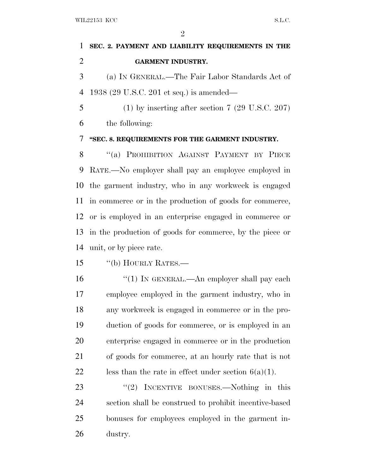|               | 1 SEC. 2. PAYMENT AND LIABILITY REQUIREMENTS IN THE               |
|---------------|-------------------------------------------------------------------|
| $\mathcal{D}$ | <b>GARMENT INDUSTRY.</b>                                          |
|               | (a) IN GENERAL.—The Fair Labor Standards Act of<br>$\mathfrak{Z}$ |

1938 (29 U.S.C. 201 et seq.) is amended—

 (1) by inserting after section 7 (29 U.S.C. 207) the following:

### **''SEC. 8. REQUIREMENTS FOR THE GARMENT INDUSTRY.**

8 "(a) PROHIBITION AGAINST PAYMENT BY PIECE RATE.—No employer shall pay an employee employed in the garment industry, who in any workweek is engaged in commerce or in the production of goods for commerce, or is employed in an enterprise engaged in commerce or in the production of goods for commerce, by the piece or unit, or by piece rate.

- ''(b) HOURLY RATES.—
- 16 ''(1) In GENERAL.—An employer shall pay each employee employed in the garment industry, who in any workweek is engaged in commerce or in the pro- duction of goods for commerce, or is employed in an enterprise engaged in commerce or in the production of goods for commerce, at an hourly rate that is not 22 less than the rate in effect under section  $6(a)(1)$ .

23 "(2) INCENTIVE BONUSES.—Nothing in this section shall be construed to prohibit incentive-based bonuses for employees employed in the garment in-dustry.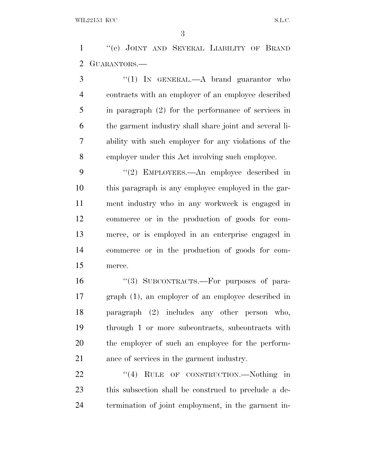''(c) JOINT AND SEVERAL LIABILITY OF BRAND GUARANTORS.—

3 "(1) In GENERAL.—A brand guarantor who contracts with an employer of an employee described in paragraph (2) for the performance of services in the garment industry shall share joint and several li- ability with such employer for any violations of the employer under this Act involving such employee.

9 "(2) EMPLOYEES.—An employee described in this paragraph is any employee employed in the gar- ment industry who in any workweek is engaged in commerce or in the production of goods for com- merce, or is employed in an enterprise engaged in commerce or in the production of goods for com-merce.

 ''(3) SUBCONTRACTS.—For purposes of para- graph (1), an employer of an employee described in paragraph (2) includes any other person who, through 1 or more subcontracts, subcontracts with the employer of such an employee for the perform-ance of services in the garment industry.

22 "(4) RULE OF CONSTRUCTION.—Nothing in this subsection shall be construed to preclude a de-termination of joint employment, in the garment in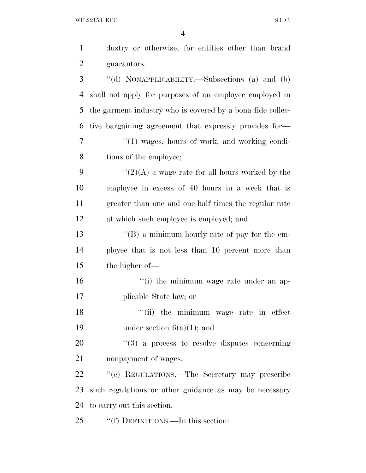WIL22153 KCC S.L.C.

| $\mathbf{1}$   | dustry or otherwise, for entities other than brand         |
|----------------|------------------------------------------------------------|
| $\overline{2}$ | guarantors.                                                |
| 3              | "(d) NONAPPLICABILITY.—Subsections (a) and (b)             |
| 4              | shall not apply for purposes of an employee employed in    |
| 5              | the garment industry who is covered by a bona fide collec- |
| 6              | tive bargaining agreement that expressly provides for-     |
| 7              | "(1) wages, hours of work, and working condi-              |
| 8              | tions of the employee;                                     |
| 9              | $\lq(2)(A)$ a wage rate for all hours worked by the        |
| 10             | employee in excess of 40 hours in a week that is           |
| 11             | greater than one and one-half times the regular rate       |
| 12             | at which such employee is employed; and                    |
| 13             | $\lq\lq (B)$ a minimum hourly rate of pay for the em-      |
| 14             | ployee that is not less than 10 percent more than          |
| 15             | the higher of—                                             |
| 16             | "(i) the minimum wage rate under an ap-                    |
| 17             | plicable State law; or                                     |
| 18             | "(ii) the minimum wage rate in effect                      |
| 19             | under section $6(a)(1)$ ; and                              |
| 20             | $\cdot\cdot(3)$ a process to resolve disputes concerning   |
| 21             | nonpayment of wages.                                       |
| 22             | "(e) REGULATIONS.—The Secretary may prescribe              |
| 23             | such regulations or other guidance as may be necessary     |
| 24             | to carry out this section.                                 |
| 25             | "(f) DEFINITIONS.—In this section:                         |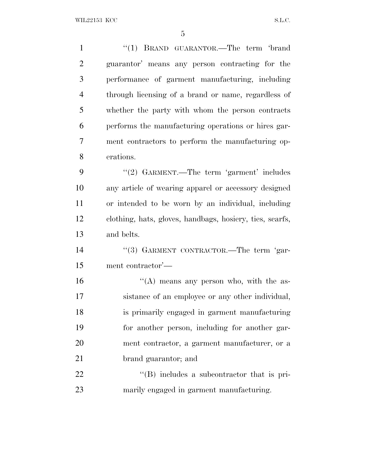| $\mathbf{1}$   | "(1) BRAND GUARANTOR.—The term 'brand                    |
|----------------|----------------------------------------------------------|
| $\overline{2}$ | guarantor' means any person contracting for the          |
| 3              | performance of garment manufacturing, including          |
| $\overline{4}$ | through licensing of a brand or name, regardless of      |
| 5              | whether the party with whom the person contracts         |
| 6              | performs the manufacturing operations or hires gar-      |
| $\overline{7}$ | ment contractors to perform the manufacturing op-        |
| 8              | erations.                                                |
| 9              | "(2) GARMENT.—The term 'garment' includes                |
| 10             | any article of wearing apparel or accessory designed     |
| 11             | or intended to be worn by an individual, including       |
| 12             | clothing, hats, gloves, handbags, hosiery, ties, scarfs, |
| 13             | and belts.                                               |
| 14             | "(3) GARMENT CONTRACTOR.—The term 'gar-                  |
| 15             | ment contractor'—                                        |
| 16             | "(A) means any person who, with the as-                  |
| 17             | sistance of an employee or any other individual,         |
| 18             | is primarily engaged in garment manufacturing            |
| 19             | for another person, including for another gar-           |
| 20             | ment contractor, a garment manufacturer, or a            |
| 21             | brand guarantor; and                                     |
| 22             | $\lq\lq (B)$ includes a subcontractor that is pri-       |
| 23             | marily engaged in garment manufacturing.                 |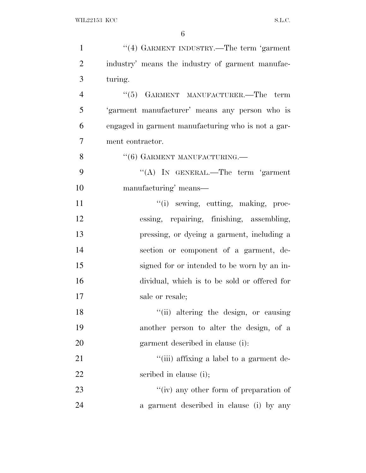| $\mathbf{1}$   | "(4) GARMENT INDUSTRY.—The term 'garment           |
|----------------|----------------------------------------------------|
| $\overline{2}$ | industry' means the industry of garment manufac-   |
| 3              | turing.                                            |
| $\overline{4}$ | $``(5)$ GARMENT MANUFACTURER.—The term             |
| 5              | 'garment manufacturer' means any person who is     |
| 6              | engaged in garment manufacturing who is not a gar- |
| $\overline{7}$ | ment contractor.                                   |
| 8              | $``(6)$ GARMENT MANUFACTURING.—                    |
| 9              | "(A) IN GENERAL.—The term 'garment                 |
| 10             | manufacturing' means—                              |
| 11             | "(i) sewing, cutting, making, proc-                |
| 12             | essing, repairing, finishing, assembling,          |
| 13             | pressing, or dyeing a garment, including a         |
| 14             | section or component of a garment, de-             |
| 15             | signed for or intended to be worn by an in-        |
| 16             | dividual, which is to be sold or offered for       |
| 17             | sale or resale;                                    |
| 18             | "(ii) altering the design, or causing              |
| 19             | another person to alter the design, of a           |
| 20             | garment described in clause (i):                   |
| 21             | "(iii) affixing a label to a garment de-           |
| 22             | scribed in clause (i);                             |
| 23             | "(iv) any other form of preparation of             |
| 24             | a garment described in clause (i) by any           |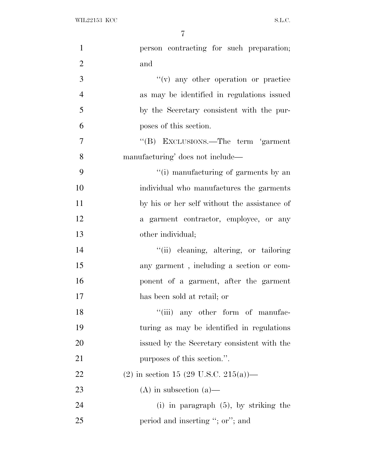| $\mathbf{1}$   | person contracting for such preparation;     |
|----------------|----------------------------------------------|
| $\overline{2}$ | and                                          |
| 3              | "(v) any other operation or practice         |
| $\overline{4}$ | as may be identified in regulations issued   |
| 5              | by the Secretary consistent with the pur-    |
| 6              | poses of this section.                       |
| $\overline{7}$ | "(B) EXCLUSIONS.—The term 'garment           |
| 8              | manufacturing' does not include—             |
| 9              | "(i) manufacturing of garments by an         |
| 10             | individual who manufactures the garments     |
| 11             | by his or her self without the assistance of |
| 12             | a garment contractor, employee, or any       |
| 13             | other individual;                            |
| 14             | "(ii) cleaning, altering, or tailoring       |
| 15             | any garment, including a section or com-     |
| 16             | ponent of a garment, after the garment       |
| 17             | has been sold at retail; or                  |
| 18             | "(iii) any other form of manufac-            |
| 19             | turing as may be identified in regulations   |
| 20             | issued by the Secretary consistent with the  |
| 21             | purposes of this section.".                  |
| 22             | (2) in section 15 (29 U.S.C. 215(a))—        |
| 23             | $(A)$ in subsection $(a)$ —                  |
| 24             | $(i)$ in paragraph $(5)$ , by striking the   |
| 25             | period and inserting "; or"; and             |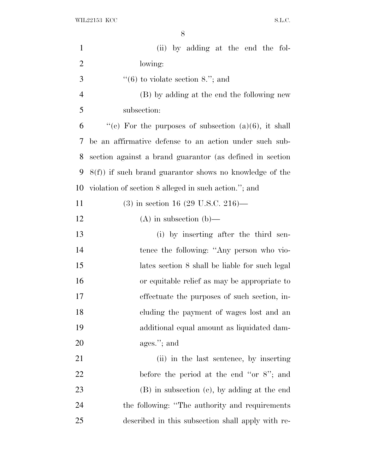WIL22153 KCC  $SL.C.$ 

| $\mathbf{1}$   | (ii) by adding at the end the fol-                         |
|----------------|------------------------------------------------------------|
| $\overline{2}$ | lowing:                                                    |
| 3              | $\lq(6)$ to violate section 8."; and                       |
| $\overline{4}$ | (B) by adding at the end the following new                 |
| 5              | subsection:                                                |
| 6              | "(c) For the purposes of subsection $(a)(6)$ , it shall    |
| 7              | be an affirmative defense to an action under such sub-     |
| 8              | section against a brand guaranter (as defined in section   |
| 9              | $8(f)$ ) if such brand guarantor shows no knowledge of the |
| 10             | violation of section 8 alleged in such action."; and       |
| 11             | $(3)$ in section 16 (29 U.S.C. 216)—                       |
| 12             | $(A)$ in subsection $(b)$ —                                |
| 13             | (i) by inserting after the third sen-                      |
| 14             | tence the following: "Any person who vio-                  |
| 15             | lates section 8 shall be liable for such legal             |
| 16             | or equitable relief as may be appropriate to               |
| 17             | effectuate the purposes of such section, in-               |
| 18             | cluding the payment of wages lost and an                   |
| 19             | additional equal amount as liquidated dam-                 |
| 20             | ages."; and                                                |
| 21             | (ii) in the last sentence, by inserting                    |
| 22             | before the period at the end "or $8$ "; and                |
| 23             | (B) in subsection (c), by adding at the end                |
| 24             | the following: "The authority and requirements"            |
| 25             | described in this subsection shall apply with re-          |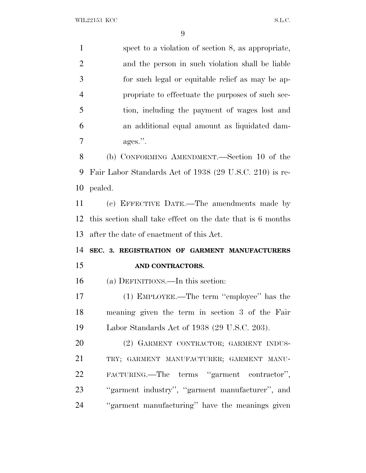| $\mathbf{1}$   | spect to a violation of section 8, as appropriate,          |
|----------------|-------------------------------------------------------------|
| $\overline{2}$ | and the person in such violation shall be liable            |
| 3              | for such legal or equitable relief as may be ap-            |
| $\overline{4}$ | propriate to effectuate the purposes of such sec-           |
| 5              | tion, including the payment of wages lost and               |
| 6              | an additional equal amount as liquidated dam-               |
| 7              | ages.".                                                     |
| 8              | (b) CONFORMING AMENDMENT.—Section 10 of the                 |
| 9              | Fair Labor Standards Act of 1938 (29 U.S.C. 210) is re-     |
| 10             | pealed.                                                     |
| 11             | (c) EFFECTIVE DATE.—The amendments made by                  |
| 12             | this section shall take effect on the date that is 6 months |
| 13             | after the date of enactment of this Act.                    |
| 14             | SEC. 3. REGISTRATION OF GARMENT MANUFACTURERS               |
| 15             | AND CONTRACTORS.                                            |
| 16             | (a) DEFINITIONS.—In this section:                           |
| 17             | (1) EMPLOYEE.—The term "employee" has the                   |
| 18             | meaning given the term in section 3 of the Fair             |
| 19             | Labor Standards Act of 1938 (29 U.S.C. 203).                |
| 20             | (2) GARMENT CONTRACTOR; GARMENT INDUS-                      |
| 21             | TRY; GARMENT MANUFACTURER; GARMENT MANU-                    |
| 22             | FACTURING.—The terms "garment contractor",                  |
| 23             | "garment industry", "garment manufacturer", and             |
| 24             | "garment manufacturing" have the meanings given             |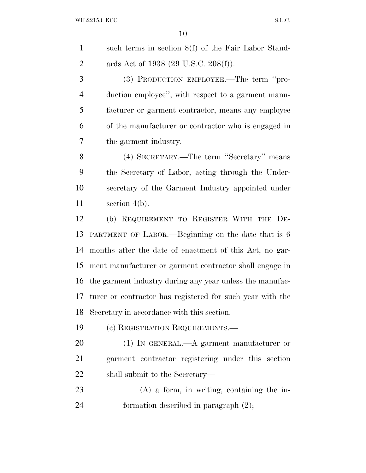such terms in section 8(f) of the Fair Labor Stand-2 ards Act of 1938 (29 U.S.C. 208(f)).

 (3) PRODUCTION EMPLOYEE.—The term ''pro- duction employee'', with respect to a garment manu- facturer or garment contractor, means any employee of the manufacturer or contractor who is engaged in the garment industry.

 (4) SECRETARY.—The term ''Secretary'' means the Secretary of Labor, acting through the Under- secretary of the Garment Industry appointed under section 4(b).

 (b) REQUIREMENT TO REGISTER WITH THE DE- PARTMENT OF LABOR.—Beginning on the date that is 6 months after the date of enactment of this Act, no gar- ment manufacturer or garment contractor shall engage in the garment industry during any year unless the manufac- turer or contractor has registered for such year with the Secretary in accordance with this section.

(c) REGISTRATION REQUIREMENTS.—

 (1) IN GENERAL.—A garment manufacturer or garment contractor registering under this section shall submit to the Secretary—

 (A) a form, in writing, containing the in-formation described in paragraph (2);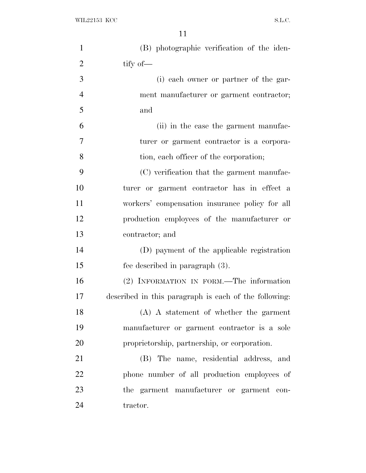| $\mathbf{1}$   | (B) photographic verification of the iden-            |
|----------------|-------------------------------------------------------|
| $\overline{2}$ | tify of—                                              |
| 3              | (i) each owner or partner of the gar-                 |
| $\overline{4}$ | ment manufacturer or garment contractor;              |
| 5              | and                                                   |
| 6              | (ii) in the case the garment manufac-                 |
| $\overline{7}$ | turer or garment contractor is a corpora-             |
| 8              | tion, each officer of the corporation;                |
| 9              | (C) verification that the garment manufac-            |
| 10             | turer or garment contractor has in effect a           |
| 11             | workers' compensation insurance policy for all        |
| 12             | production employees of the manufacturer or           |
| 13             | contractor; and                                       |
| 14             | (D) payment of the applicable registration            |
| 15             | fee described in paragraph (3).                       |
| 16             | (2) INFORMATION IN FORM.—The information              |
| 17             | described in this paragraph is each of the following: |
| 18             | (A) A statement of whether the garment                |
| 19             | manufacturer or garment contractor is a sole          |
| 20             | proprietorship, partnership, or corporation.          |
| 21             | (B) The name, residential address, and                |
| 22             | phone number of all production employees of           |
| 23             | the garment manufacturer or garment con-              |
| 24             | tractor.                                              |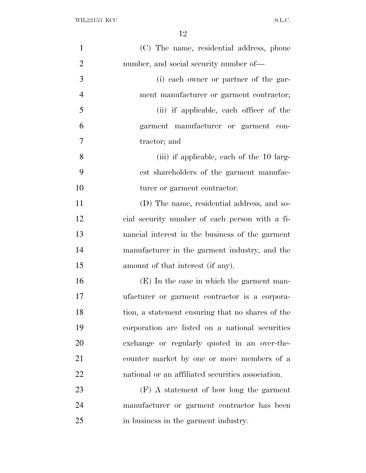| $\mathbf{1}$   | (C) The name, residential address, phone          |
|----------------|---------------------------------------------------|
| $\overline{2}$ | number, and social security number of—            |
| 3              | (i) each owner or partner of the gar-             |
| $\overline{4}$ | ment manufacturer or garment contractor;          |
| 5              | (ii) if applicable, each officer of the           |
| 6              | garment manufacturer or garment con-              |
| $\overline{7}$ | tractor; and                                      |
| 8              | (iii) if applicable, each of the 10 larg-         |
| 9              | est shareholders of the garment manufac-          |
| 10             | turer or garment contractor.                      |
| 11             | (D) The name, residential address, and so-        |
| 12             | cial security number of each person with a fi-    |
| 13             | nancial interest in the business of the garment   |
| 14             | manufacturer in the garment industry, and the     |
| 15             | amount of that interest (if any).                 |
| 16             | (E) In the case in which the garment man-         |
| 17             | ufacturer or garment contractor is a corpora-     |
| 18             | tion, a statement ensuring that no shares of the  |
| 19             | corporation are listed on a national securities   |
| 20             | exchange or regularly quoted in an over-the-      |
| 21             | counter market by one or more members of a        |
| 22             | national or an affiliated securities association. |
| 23             | (F) A statement of how long the garment           |
| 24             | manufacturer or garment contractor has been       |
| 25             | in business in the garment industry.              |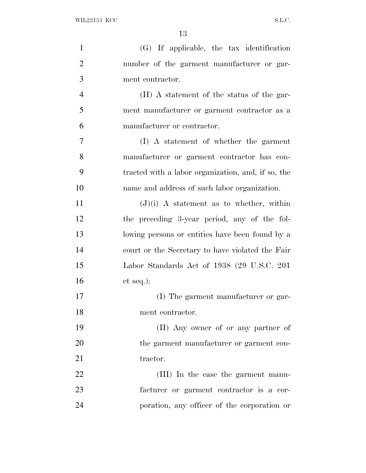| $\mathbf{1}$   | (G) If applicable, the tax identification          |
|----------------|----------------------------------------------------|
| $\overline{2}$ | number of the garment manufacturer or gar-         |
| 3              | ment contractor.                                   |
| $\overline{4}$ | (H) A statement of the status of the gar-          |
| 5              | ment manufacturer or garment contractor as a       |
| 6              | manufacturer or contractor.                        |
| 7              | (I) A statement of whether the garment             |
| 8              | manufacturer or garment contractor has con-        |
| 9              | tracted with a labor organization, and, if so, the |
| 10             | name and address of such labor organization.       |
| 11             | $(J)(i)$ A statement as to whether, within         |
| 12             | the preceding 3-year period, any of the fol-       |
| 13             | lowing persons or entities have been found by a    |
| 14             | court or the Secretary to have violated the Fair   |
| 15             | Labor Standards Act of 1938 (29 U.S.C. 201)        |
| 16             | et seq.):                                          |
| 17             | (I) The garment manufacturer or gar-               |
| 18             | ment contractor.                                   |
| 19             | (II) Any owner of or any partner of                |
| 20             | the garment manufacturer or garment con-           |
| 21             | tractor.                                           |
| 22             | (III) In the case the garment manu-                |
| 23             | facturer or garment contractor is a cor-           |
| 24             | poration, any officer of the corporation or        |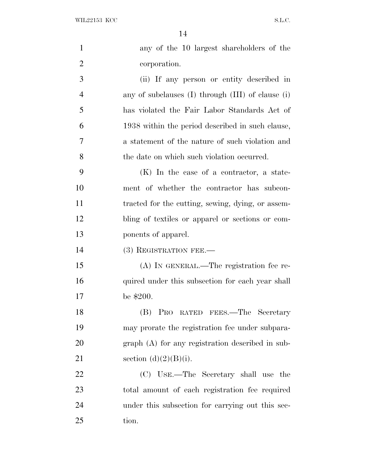| $\mathbf{1}$   | any of the 10 largest shareholders of the               |
|----------------|---------------------------------------------------------|
| $\overline{2}$ | corporation.                                            |
| 3              | (ii) If any person or entity described in               |
| $\overline{4}$ | any of subclauses $(I)$ through $(III)$ of clause $(i)$ |
| 5              | has violated the Fair Labor Standards Act of            |
| 6              | 1938 within the period described in such clause,        |
| 7              | a statement of the nature of such violation and         |
| 8              | the date on which such violation occurred.              |
| 9              | (K) In the case of a contractor, a state-               |
| 10             | ment of whether the contractor has subcon-              |
| 11             | tracted for the cutting, sewing, dying, or assem-       |
| 12             | bling of textiles or apparel or sections or com-        |
| 13             | ponents of apparel.                                     |
| 14             | (3) REGISTRATION FEE.-                                  |
| 15             | (A) IN GENERAL.—The registration fee re-                |
| 16             | quired under this subsection for each year shall        |
| 17             | be $$200.$                                              |
| 18             | (B) PRO RATED FEES.-The Secretary                       |
| 19             | may prorate the registration fee under subpara-         |
| 20             | $graph(A)$ for any registration described in sub-       |
| 21             | section $(d)(2)(B)(i)$ .                                |
| 22             | (C) USE.—The Secretary shall use the                    |
| 23             | total amount of each registration fee required          |
| 24             | under this subsection for carrying out this sec-        |
| 25             | tion.                                                   |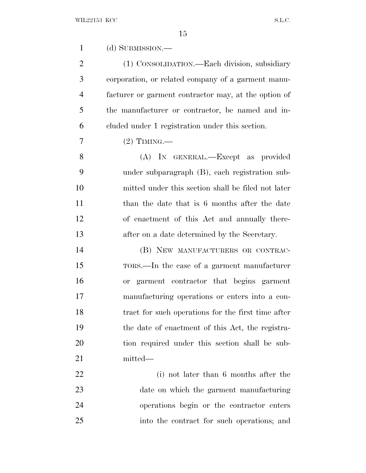| $\mathbf{1}$   | (d) SUBMISSION.—                                     |
|----------------|------------------------------------------------------|
| $\overline{2}$ | (1) CONSOLIDATION.—Each division, subsidiary         |
| 3              | corporation, or related company of a garment manu-   |
| $\overline{4}$ | facturer or garment contractor may, at the option of |
| 5              | the manufacturer or contractor, be named and in-     |
| 6              | cluded under 1 registration under this section.      |
| 7              | $(2)$ TIMING.—                                       |
| 8              | (A) IN GENERAL.—Except as provided                   |
| 9              | under subparagraph (B), each registration sub-       |
| 10             | mitted under this section shall be filed not later   |
| 11             | than the date that is 6 months after the date        |
| 12             | of enactment of this Act and annually there-         |
| 13             | after on a date determined by the Secretary.         |
| 14             | (B) NEW MANUFACTURERS OR CONTRAC-                    |
| 15             | TORS.—In the case of a garment manufacturer          |
| 16             | or garment contractor that begins garment            |
| 17             | manufacturing operations or enters into a con-       |
| 18             | tract for such operations for the first time after   |
| 19             | the date of enactment of this Act, the registra-     |
| 20             | tion required under this section shall be sub-       |
| 21             | mitted—                                              |
| 22             | (i) not later than 6 months after the                |
| 23             | date on which the garment manufacturing              |
| 24             | operations begin or the contractor enters            |
| 25             | into the contract for such operations; and           |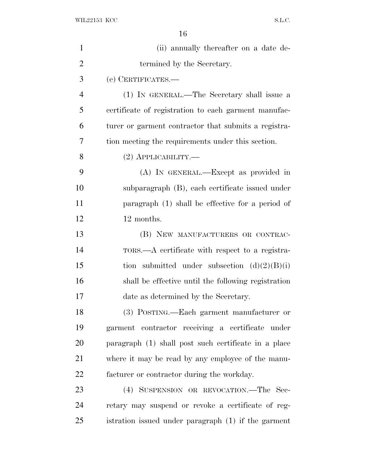| $\mathbf{1}$   | (ii) annually thereafter on a date de-               |
|----------------|------------------------------------------------------|
| $\overline{2}$ | termined by the Secretary.                           |
| 3              | (e) CERTIFICATES.—                                   |
| $\overline{4}$ | (1) IN GENERAL.—The Secretary shall issue a          |
| 5              | certificate of registration to each garment manufac- |
| 6              | turer or garment contractor that submits a registra- |
| 7              | tion meeting the requirements under this section.    |
| 8              | $(2)$ APPLICABILITY.—                                |
| 9              | (A) IN GENERAL.—Except as provided in                |
| 10             | subparagraph (B), each certificate issued under      |
| 11             | paragraph (1) shall be effective for a period of     |
| 12             | 12 months.                                           |
| 13             | (B) NEW MANUFACTURERS OR CONTRAC-                    |
| 14             | TORS.—A certificate with respect to a registra-      |
| 15             | tion submitted under subsection $(d)(2)(B)(i)$       |
| 16             | shall be effective until the following registration  |
| 17             | date as determined by the Secretary.                 |
| 18             | (3) POSTING.—Each garment manufacturer or            |
| 19             | garment contractor receiving a certificate under     |
| 20             | paragraph (1) shall post such certificate in a place |
| 21             | where it may be read by any employee of the manu-    |
| 22             | facturer or contractor during the workday.           |
| 23             | (4) SUSPENSION OR REVOCATION. The Sec-               |
| 24             | retary may suspend or revoke a certificate of reg-   |
| 25             | istration issued under paragraph (1) if the garment  |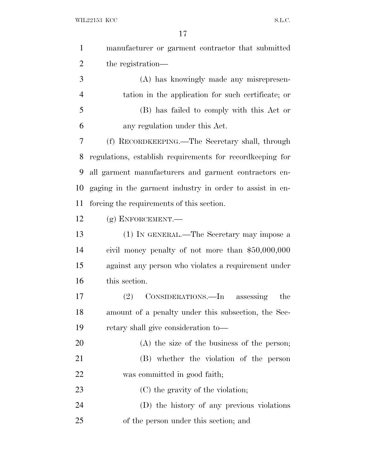| $\mathbf{1}$   | manufacturer or garment contractor that submitted          |
|----------------|------------------------------------------------------------|
| $\overline{2}$ | the registration—                                          |
| 3              | (A) has knowingly made any misrepresen-                    |
| $\overline{4}$ | tation in the application for such certificate; or         |
| 5              | (B) has failed to comply with this Act or                  |
| 6              | any regulation under this Act.                             |
| 7              | (f) RECORDKEEPING.—The Secretary shall, through            |
| 8              | regulations, establish requirements for record keeping for |
| 9              | all garment manufacturers and garment contractors en-      |
| 10             | gaging in the garment industry in order to assist in en-   |
| 11             | forcing the requirements of this section.                  |
| 12             | $(g)$ ENFORCEMENT.—                                        |
| 13             | (1) IN GENERAL.—The Secretary may impose a                 |
| 14             | civil money penalty of not more than $$50,000,000$         |
| 15             | against any person who violates a requirement under        |
| 16             | this section.                                              |
| 17             | $ConsIDENTIONS.$ $\qquad \qquad$ assessing<br>(2)<br>the   |
| 18             | amount of a penalty under this subsection, the Sec-        |
| 19             | retary shall give consideration to—                        |
| 20             | $(A)$ the size of the business of the person;              |
| 21             | (B) whether the violation of the person                    |
| 22             | was committed in good faith;                               |
| 23             | (C) the gravity of the violation;                          |
| 24             | (D) the history of any previous violations                 |
| 25             | of the person under this section; and                      |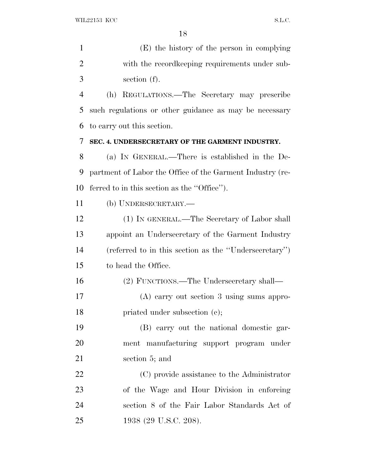(E) the history of the person in complying with the recordkeeping requirements under sub- section (f). (h) REGULATIONS.—The Secretary may prescribe such regulations or other guidance as may be necessary to carry out this section. **SEC. 4. UNDERSECRETARY OF THE GARMENT INDUSTRY.** (a) I<sup>N</sup> GENERAL.—There is established in the De-

 partment of Labor the Office of the Garment Industry (re-ferred to in this section as the ''Office'').

(b) UNDERSECRETARY.—

 (1) IN GENERAL.—The Secretary of Labor shall appoint an Undersecretary of the Garment Industry (referred to in this section as the ''Undersecretary'') to head the Office.

(2) FUNCTIONS.—The Undersecretary shall—

 (A) carry out section 3 using sums appro-18 priated under subsection (c);

 (B) carry out the national domestic gar- ment manufacturing support program under section 5; and

 (C) provide assistance to the Administrator of the Wage and Hour Division in enforcing section 8 of the Fair Labor Standards Act of 1938 (29 U.S.C. 208).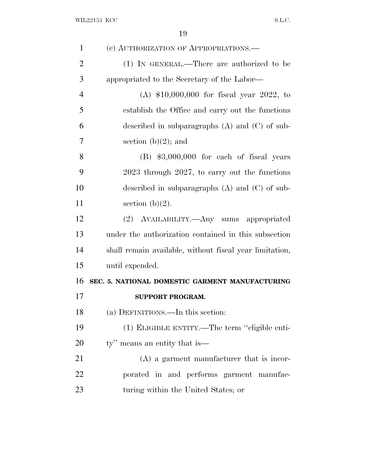| $\mathbf{1}$   | (c) AUTHORIZATION OF APPROPRIATIONS.—                   |
|----------------|---------------------------------------------------------|
| $\overline{2}$ | (1) IN GENERAL.—There are authorized to be              |
| 3              | appropriated to the Secretary of the Labor—             |
| $\overline{4}$ | (A) $$10,000,000$ for fiscal year 2022, to              |
| 5              | establish the Office and carry out the functions        |
| 6              | described in subparagraphs $(A)$ and $(C)$ of sub-      |
| 7              | section (b) $(2)$ ; and                                 |
| 8              | $(B)$ \$3,000,000 for each of fiscal years              |
| 9              | 2023 through 2027, to carry out the functions           |
| 10             | described in subparagraphs $(A)$ and $(C)$ of sub-      |
| 11             | section $(b)(2)$ .                                      |
| 12             | (2) AVAILABILITY.—Any sums appropriated                 |
| 13             | under the authorization contained in this subsection    |
| 14             | shall remain available, without fiscal year limitation, |
| 15             | until expended.                                         |
| 16             | SEC. 5. NATIONAL DOMESTIC GARMENT MANUFACTURING         |
| 17             | <b>SUPPORT PROGRAM.</b>                                 |
| 18             | (a) DEFINITIONS.—In this section:                       |
| 19             | (1) ELIGIBLE ENTITY.—The term "eligible enti-           |
| 20             | ty" means an entity that is—                            |
| 21             | $(A)$ a garment manufacturer that is incor-             |
| 22             | porated in and performs garment manufac-                |
| 23             | turing within the United States; or                     |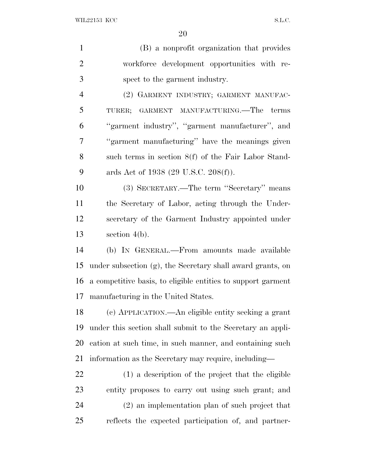WIL22153 KCC S.L.C.

 (B) a nonprofit organization that provides workforce development opportunities with re- spect to the garment industry. (2) GARMENT INDUSTRY; GARMENT MANUFAC- TURER; GARMENT MANUFACTURING.—The terms ''garment industry'', ''garment manufacturer'', and ''garment manufacturing'' have the meanings given such terms in section 8(f) of the Fair Labor Stand- ards Act of 1938 (29 U.S.C. 208(f)). (3) SECRETARY.—The term ''Secretary'' means the Secretary of Labor, acting through the Under- secretary of the Garment Industry appointed under section 4(b). (b) I<sup>N</sup> GENERAL.—From amounts made available under subsection (g), the Secretary shall award grants, on a competitive basis, to eligible entities to support garment manufacturing in the United States. (c) APPLICATION.—An eligible entity seeking a grant

 under this section shall submit to the Secretary an appli- cation at such time, in such manner, and containing such information as the Secretary may require, including—

 (1) a description of the project that the eligible entity proposes to carry out using such grant; and (2) an implementation plan of such project that reflects the expected participation of, and partner-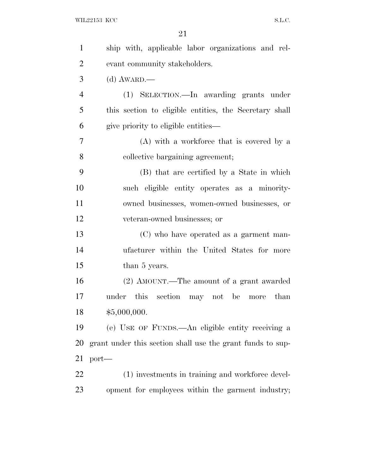| $\mathbf{1}$   | ship with, applicable labor organizations and rel-         |
|----------------|------------------------------------------------------------|
| $\overline{2}$ | evant community stakeholders.                              |
| 3              | $(d)$ AWARD.—                                              |
| $\overline{4}$ | (1) SELECTION.—In awarding grants under                    |
| 5              | this section to eligible entities, the Secretary shall     |
| 6              | give priority to eligible entities—                        |
| $\tau$         | (A) with a workforce that is covered by a                  |
| 8              | collective bargaining agreement;                           |
| 9              | (B) that are certified by a State in which                 |
| 10             | such eligible entity operates as a minority-               |
| 11             | owned businesses, women-owned businesses, or               |
| 12             | veteran-owned businesses; or                               |
| 13             | (C) who have operated as a garment man-                    |
| 14             | ufacturer within the United States for more                |
| 15             | than 5 years.                                              |
| 16             | (2) AMOUNT.—The amount of a grant awarded                  |
| 17             | under this section may not be more than                    |
| 18             | \$5,000,000.                                               |
| 19             | (e) USE OF FUNDS.—An eligible entity receiving a           |
| 20             | grant under this section shall use the grant funds to sup- |
| 21             | $port-$                                                    |
| 22             | (1) investments in training and workforce devel-           |
| 23             | opment for employees within the garment industry;          |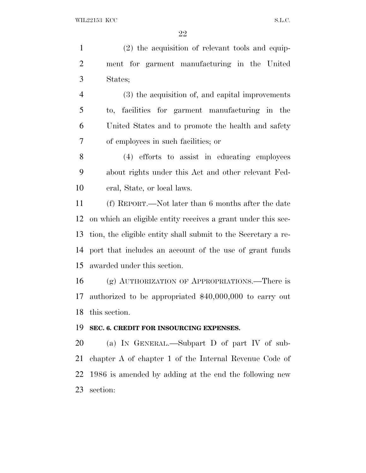(2) the acquisition of relevant tools and equip- ment for garment manufacturing in the United States;

 (3) the acquisition of, and capital improvements to, facilities for garment manufacturing in the United States and to promote the health and safety of employees in such facilities; or

 (4) efforts to assist in educating employees about rights under this Act and other relevant Fed-eral, State, or local laws.

 (f) REPORT.—Not later than 6 months after the date on which an eligible entity receives a grant under this sec- tion, the eligible entity shall submit to the Secretary a re- port that includes an account of the use of grant funds awarded under this section.

 (g) AUTHORIZATION OF APPROPRIATIONS.—There is authorized to be appropriated \$40,000,000 to carry out this section.

#### **SEC. 6. CREDIT FOR INSOURCING EXPENSES.**

 (a) I<sup>N</sup> GENERAL.—Subpart D of part IV of sub- chapter A of chapter 1 of the Internal Revenue Code of 1986 is amended by adding at the end the following new section: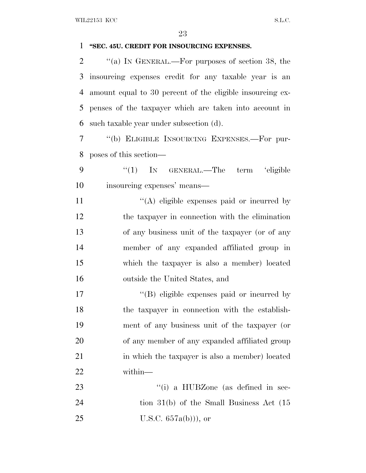#### **''SEC. 45U. CREDIT FOR INSOURCING EXPENSES.**

 $\%$  (a) In GENERAL.—For purposes of section 38, the insourcing expenses credit for any taxable year is an amount equal to 30 percent of the eligible insourcing ex- penses of the taxpayer which are taken into account in such taxable year under subsection (d).

 ''(b) ELIGIBLE INSOURCING EXPENSES.—For pur-poses of this section—

9 "(1) IN GENERAL.—The term 'eligible insourcing expenses' means—

 $((A)$  eligible expenses paid or incurred by the taxpayer in connection with the elimination of any business unit of the taxpayer (or of any member of any expanded affiliated group in which the taxpayer is also a member) located outside the United States, and

 $\langle G \rangle$  eligible expenses paid or incurred by the taxpayer in connection with the establish- ment of any business unit of the taxpayer (or of any member of any expanded affiliated group in which the taxpayer is also a member) located within—

23 ''(i) a HUBZone (as defined in sec-24 tion 31(b) of the Small Business Act (15 25 U.S.C.  $657a(b)$ , or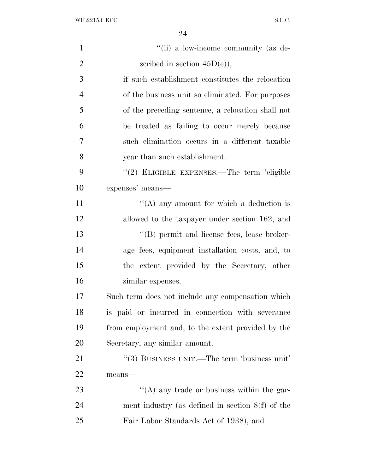WIL22153 KCC  $SL.C.$ 

| $\mathbf{1}$   | "(ii) a low-income community (as de-                |
|----------------|-----------------------------------------------------|
| $\overline{2}$ | scribed in section $45D(e)$ ,                       |
| 3              | if such establishment constitutes the relocation    |
| $\overline{4}$ | of the business unit so eliminated. For purposes    |
| 5              | of the preceding sentence, a relocation shall not   |
| 6              | be treated as failing to occur merely because       |
| 7              | such elimination occurs in a different taxable      |
| 8              | year than such establishment.                       |
| 9              | "(2) ELIGIBLE EXPENSES.—The term 'eligible          |
| 10             | expenses' means-                                    |
| 11             | "(A) any amount for which a deduction is            |
| 12             | allowed to the taxpayer under section 162, and      |
| 13             | $\lq\lq$ (B) permit and license fees, lease broker- |
| 14             | age fees, equipment installation costs, and, to     |
| 15             | the extent provided by the Secretary, other         |
| 16             | similar expenses.                                   |
| 17             | Such term does not include any compensation which   |
| 18             | is paid or incurred in connection with severance    |
| 19             | from employment and, to the extent provided by the  |
| 20             | Secretary, any similar amount.                      |
| 21             | "(3) BUSINESS UNIT.—The term 'business unit'        |
| 22             | $means$ —                                           |
| 23             | $\lq\lq$ any trade or business within the gar-      |
| 24             | ment industry (as defined in section $8(f)$ of the  |
| 25             | Fair Labor Standards Act of 1938), and              |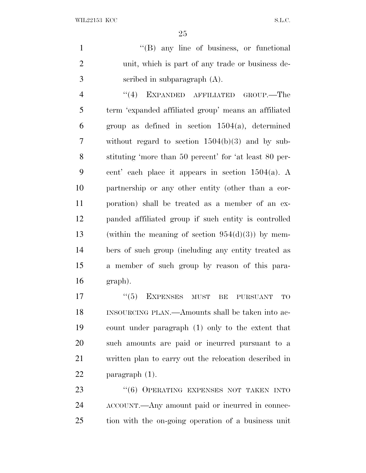1 ''(B) any line of business, or functional unit, which is part of any trade or business de-scribed in subparagraph (A).

 ''(4) EXPANDED AFFILIATED GROUP.—The term 'expanded affiliated group' means an affiliated group as defined in section 1504(a), determined without regard to section 1504(b)(3) and by sub- stituting 'more than 50 percent' for 'at least 80 per- cent' each place it appears in section 1504(a). A partnership or any other entity (other than a cor- poration) shall be treated as a member of an ex- panded affiliated group if such entity is controlled 13 (within the meaning of section  $954(d)(3)$ ) by mem- bers of such group (including any entity treated as a member of such group by reason of this para-graph).

17 "(5) EXPENSES MUST BE PURSUANT TO INSOURCING PLAN.—Amounts shall be taken into ac- count under paragraph (1) only to the extent that such amounts are paid or incurred pursuant to a written plan to carry out the relocation described in paragraph (1).

23 "(6) OPERATING EXPENSES NOT TAKEN INTO ACCOUNT.—Any amount paid or incurred in connec-tion with the on-going operation of a business unit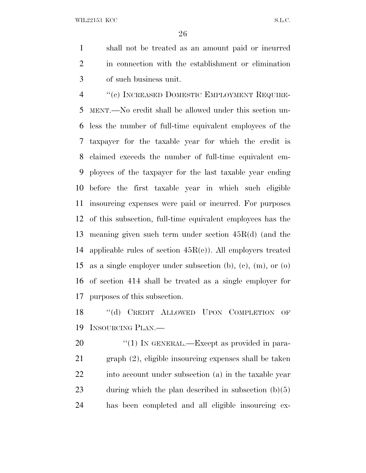WIL22153 KCC S.L.C.

 shall not be treated as an amount paid or incurred in connection with the establishment or elimination of such business unit.

 ''(c) INCREASED DOMESTIC EMPLOYMENT REQUIRE- MENT.—No credit shall be allowed under this section un- less the number of full-time equivalent employees of the taxpayer for the taxable year for which the credit is claimed exceeds the number of full-time equivalent em- ployees of the taxpayer for the last taxable year ending before the first taxable year in which such eligible insourcing expenses were paid or incurred. For purposes of this subsection, full-time equivalent employees has the meaning given such term under section 45R(d) (and the applicable rules of section 45R(e)). All employers treated as a single employer under subsection (b), (c), (m), or (o) of section 414 shall be treated as a single employer for purposes of this subsection.

 ''(d) CREDIT ALLOWED UPON COMPLETION OF INSOURCING PLAN.—

20 "(1) IN GENERAL.—Except as provided in para- graph (2), eligible insourcing expenses shall be taken 22 into account under subsection (a) in the taxable year during which the plan described in subsection (b)(5) has been completed and all eligible insourcing ex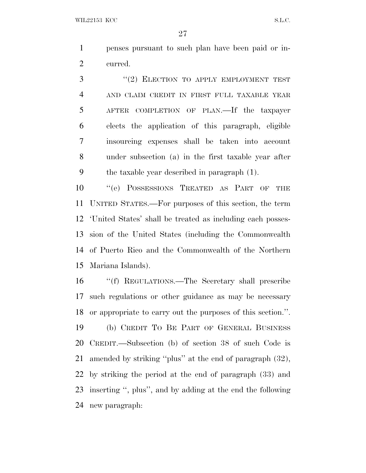WIL22153 KCC S.L.C.

 penses pursuant to such plan have been paid or in-curred.

3 "(2) ELECTION TO APPLY EMPLOYMENT TEST AND CLAIM CREDIT IN FIRST FULL TAXABLE YEAR AFTER COMPLETION OF PLAN.—If the taxpayer elects the application of this paragraph, eligible insourcing expenses shall be taken into account under subsection (a) in the first taxable year after the taxable year described in paragraph (1).

 ''(e) POSSESSIONS TREATED AS PART OF THE UNITED STATES.—For purposes of this section, the term 'United States' shall be treated as including each posses- sion of the United States (including the Commonwealth of Puerto Rico and the Commonwealth of the Northern Mariana Islands).

 ''(f) REGULATIONS.—The Secretary shall prescribe such regulations or other guidance as may be necessary or appropriate to carry out the purposes of this section.''. (b) CREDIT T<sup>O</sup> B<sup>E</sup> PART OF GENERAL BUSINESS CREDIT.—Subsection (b) of section 38 of such Code is amended by striking ''plus'' at the end of paragraph (32), by striking the period at the end of paragraph (33) and inserting '', plus'', and by adding at the end the following new paragraph: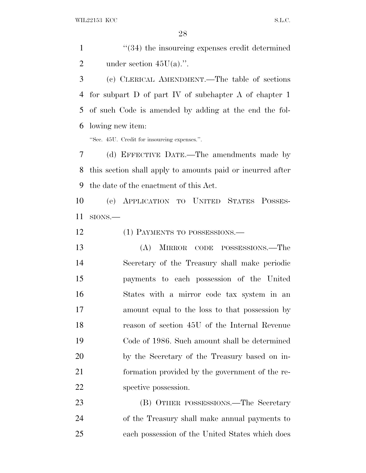1 ''(34) the insourcing expenses credit determined 2 under section  $45U(a)$ .".

 (c) CLERICAL AMENDMENT.—The table of sections for subpart D of part IV of subchapter A of chapter 1 of such Code is amended by adding at the end the fol-lowing new item:

''Sec. 45U. Credit for insourcing expenses.''.

 (d) EFFECTIVE DATE.—The amendments made by this section shall apply to amounts paid or incurred after the date of the enactment of this Act.

 (e) APPLICATION TO UNITED STATES POSSES-SIONS.—

12 (1) PAYMENTS TO POSSESSIONS.—

 (A) MIRROR CODE POSSESSIONS.—The Secretary of the Treasury shall make periodic payments to each possession of the United States with a mirror code tax system in an amount equal to the loss to that possession by reason of section 45U of the Internal Revenue Code of 1986. Such amount shall be determined by the Secretary of the Treasury based on in- formation provided by the government of the re-spective possession.

 (B) OTHER POSSESSIONS.—The Secretary of the Treasury shall make annual payments to each possession of the United States which does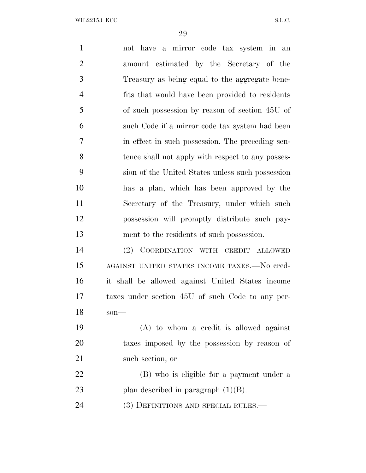not have a mirror code tax system in an amount estimated by the Secretary of the Treasury as being equal to the aggregate bene- fits that would have been provided to residents of such possession by reason of section 45U of such Code if a mirror code tax system had been in effect in such possession. The preceding sen- tence shall not apply with respect to any posses- sion of the United States unless such possession has a plan, which has been approved by the Secretary of the Treasury, under which such possession will promptly distribute such pay- ment to the residents of such possession. (2) COORDINATION WITH CREDIT ALLOWED AGAINST UNITED STATES INCOME TAXES.—No cred- it shall be allowed against United States income taxes under section 45U of such Code to any per- son— (A) to whom a credit is allowed against taxes imposed by the possession by reason of 21 such section, or (B) who is eligible for a payment under a 23 plan described in paragraph  $(1)(B)$ . (3) DEFINITIONS AND SPECIAL RULES.—